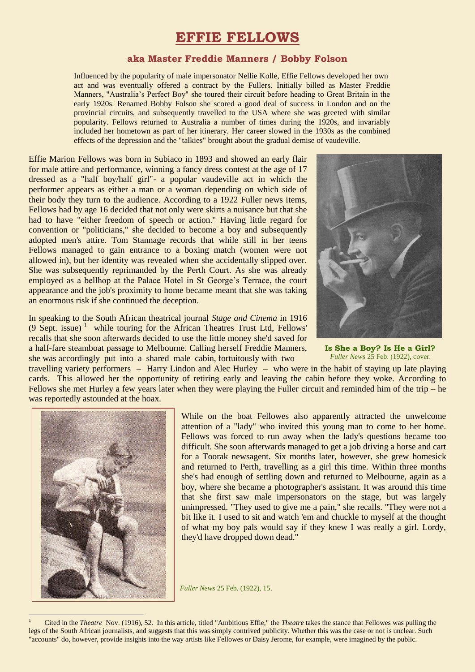# **EFFIE FELLOWS**

## **aka Master Freddie Manners / Bobby Folson**

Influenced by the popularity of male impersonator Nellie Kolle, Effie Fellows developed her own act and was eventually offered a contract by the Fullers. Initially billed as Master Freddie Manners, "Australia's Perfect Boy" she toured their circuit before heading to Great Britain in the early 1920s. Renamed Bobby Folson she scored a good deal of success in London and on the provincial circuits, and subsequently travelled to the USA where she was greeted with similar popularity. Fellows returned to Australia a number of times during the 1920s, and invariably included her hometown as part of her itinerary. Her career slowed in the 1930s as the combined effects of the depression and the "talkies" brought about the gradual demise of vaudeville.

Effie Marion Fellows was born in Subiaco in 1893 and showed an early flair for male attire and performance, winning a fancy dress contest at the age of 17 dressed as a "half boy/half girl"- a popular vaudeville act in which the performer appears as either a man or a woman depending on which side of their body they turn to the audience. According to a 1922 Fuller news items, Fellows had by age 16 decided that not only were skirts a nuisance but that she had to have "either freedom of speech or action." Having little regard for convention or "politicians," she decided to become a boy and subsequently adopted men's attire. Tom Stannage records that while still in her teens Fellows managed to gain entrance to a boxing match (women were not allowed in), but her identity was revealed when she accidentally slipped over. She was subsequently reprimanded by the Perth Court. As she was already employed as a bellhop at the Palace Hotel in St George's Terrace, the court appearance and the job's proximity to home became meant that she was taking an enormous risk if she continued the deception.

In speaking to the South African theatrical journal *Stage and Cinema* in 1916 (9 Sept. issue) <sup>1</sup> while touring for the African Theatres Trust Ltd, Fellows' recalls that she soon afterwards decided to use the little money she'd saved for a half-fare steamboat passage to Melbourne. Calling herself Freddie Manners, she was accordingly put into a shared male cabin, fortuitously with two



**Is She a Boy? Is He a Girl?** *Fuller News* 25 Feb. (1922), cover.

travelling variety performers – Harry Lindon and Alec Hurley – who were in the habit of staying up late playing cards. This allowed her the opportunity of retiring early and leaving the cabin before they woke. According to Fellows she met Hurley a few years later when they were playing the Fuller circuit and reminded him of the trip – he was reportedly astounded at the hoax.



 $\overline{a}$ 

While on the boat Fellowes also apparently attracted the unwelcome attention of a "lady" who invited this young man to come to her home. Fellows was forced to run away when the lady's questions became too difficult. She soon afterwards managed to get a job driving a horse and cart for a Toorak newsagent. Six months later, however, she grew homesick and returned to Perth, travelling as a girl this time. Within three months she's had enough of settling down and returned to Melbourne, again as a boy, where she became a photographer's assistant. It was around this time that she first saw male impersonators on the stage, but was largely unimpressed. "They used to give me a pain," she recalls. "They were not a bit like it. I used to sit and watch 'em and chuckle to myself at the thought of what my boy pals would say if they knew I was really a girl. Lordy, they'd have dropped down dead."

*Fuller News* 25 Feb. (1922), 15.

<sup>1</sup> Cited in the *Theatre* Nov. (1916), 52. In this article, titled "Ambitious Effie," the *Theatre* takes the stance that Fellowes was pulling the legs of the South African journalists, and suggests that this was simply contrived publicity. Whether this was the case or not is unclear. Such "accounts" do, however, provide insights into the way artists like Fellowes or Daisy Jerome, for example, were imagined by the public.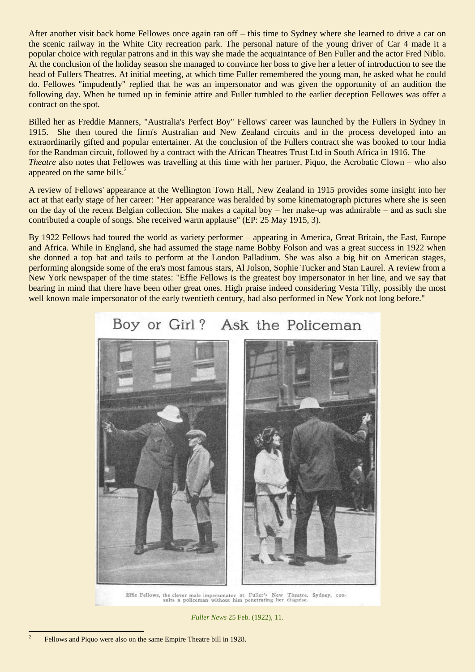After another visit back home Fellowes once again ran off – this time to Sydney where she learned to drive a car on the scenic railway in the White City recreation park. The personal nature of the young driver of Car 4 made it a popular choice with regular patrons and in this way she made the acquaintance of Ben Fuller and the actor Fred Niblo. At the conclusion of the holiday season she managed to convince her boss to give her a letter of introduction to see the head of Fullers Theatres. At initial meeting, at which time Fuller remembered the young man, he asked what he could do. Fellowes "impudently" replied that he was an impersonator and was given the opportunity of an audition the following day. When he turned up in feminie attire and Fuller tumbled to the earlier deception Fellowes was offer a contract on the spot.

Billed her as Freddie Manners, "Australia's Perfect Boy" Fellows' career was launched by the Fullers in Sydney in 1915. She then toured the firm's Australian and New Zealand circuits and in the process developed into an extraordinarily gifted and popular entertainer. At the conclusion of the Fullers contract she was booked to tour India for the Randman circuit, followed by a contract with the African Theatres Trust Ltd in South Africa in 1916. The *Theatre* also notes that Fellowes was travelling at this time with her partner, Piquo, the Acrobatic Clown – who also appeared on the same bills.<sup>2</sup>

A review of Fellows' appearance at the Wellington Town Hall, New Zealand in 1915 provides some insight into her act at that early stage of her career: "Her appearance was heralded by some kinematograph pictures where she is seen on the day of the recent Belgian collection. She makes a capital boy – her make-up was admirable – and as such she contributed a couple of songs. She received warm applause" (EP: 25 May 1915, 3).

By 1922 Fellows had toured the world as variety performer – appearing in America, Great Britain, the East, Europe and Africa. While in England, she had assumed the stage name Bobby Folson and was a great success in 1922 when she donned a top hat and tails to perform at the London Palladium. She was also a big hit on American stages, performing alongside some of the era's most famous stars, Al Jolson, Sophie Tucker and Stan Laurel. A review from a New York newspaper of the time states: "Effie Fellows is the greatest boy impersonator in her line, and we say that bearing in mind that there have been other great ones. High praise indeed considering Vesta Tilly, possibly the most well known male impersonator of the early twentieth century, had also performed in New York not long before."

#### Boy or Girl? Ask the Policeman



Effie Fellows, the clever male impersonator at Fuller's New Theatre, Sydney, consults a policeman without him penetrating her disguise.

*Fuller News* 25 Feb. (1922), 11.

1